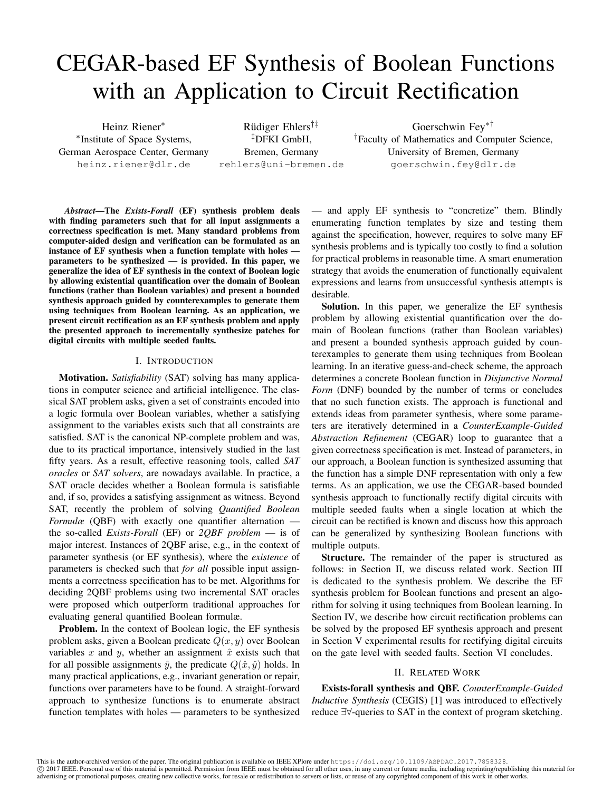# CEGAR-based EF Synthesis of Boolean Functions with an Application to Circuit Rectification

Heinz Riener<sup>∗</sup> ∗ Institute of Space Systems, German Aerospace Center, Germany heinz.riener@dlr.de

Rüdiger Ehlers<sup>†‡</sup> ‡DFKI GmbH, Bremen, Germany rehlers@uni-bremen.de

Goerschwin Fey∗† †Faculty of Mathematics and Computer Science, University of Bremen, Germany goerschwin.fey@dlr.de

*Abstract*—The *Exists-Forall* (EF) synthesis problem deals with finding parameters such that for all input assignments a correctness specification is met. Many standard problems from computer-aided design and verification can be formulated as an instance of EF synthesis when a function template with holes parameters to be synthesized — is provided. In this paper, we generalize the idea of EF synthesis in the context of Boolean logic by allowing existential quantification over the domain of Boolean functions (rather than Boolean variables) and present a bounded synthesis approach guided by counterexamples to generate them using techniques from Boolean learning. As an application, we present circuit rectification as an EF synthesis problem and apply the presented approach to incrementally synthesize patches for digital circuits with multiple seeded faults.

## I. INTRODUCTION

Motivation. *Satisfiability* (SAT) solving has many applications in computer science and artificial intelligence. The classical SAT problem asks, given a set of constraints encoded into a logic formula over Boolean variables, whether a satisfying assignment to the variables exists such that all constraints are satisfied. SAT is the canonical NP-complete problem and was, due to its practical importance, intensively studied in the last fifty years. As a result, effective reasoning tools, called *SAT oracles* or *SAT solvers*, are nowadays available. In practice, a SAT oracle decides whether a Boolean formula is satisfiable and, if so, provides a satisfying assignment as witness. Beyond SAT, recently the problem of solving *Quantified Boolean Formulæ* (QBF) with exactly one quantifier alternation the so-called *Exists-Forall* (EF) or *2QBF problem* — is of major interest. Instances of 2QBF arise, e.g., in the context of parameter synthesis (or EF synthesis), where the *existence* of parameters is checked such that *for all* possible input assignments a correctness specification has to be met. Algorithms for deciding 2QBF problems using two incremental SAT oracles were proposed which outperform traditional approaches for evaluating general quantified Boolean formulæ.

Problem. In the context of Boolean logic, the EF synthesis problem asks, given a Boolean predicate  $Q(x, y)$  over Boolean variables x and y, whether an assignment  $\hat{x}$  exists such that for all possible assignments  $\hat{y}$ , the predicate  $Q(\hat{x}, \hat{y})$  holds. In many practical applications, e.g., invariant generation or repair, functions over parameters have to be found. A straight-forward approach to synthesize functions is to enumerate abstract function templates with holes — parameters to be synthesized — and apply EF synthesis to "concretize" them. Blindly enumerating function templates by size and testing them against the specification, however, requires to solve many EF synthesis problems and is typically too costly to find a solution for practical problems in reasonable time. A smart enumeration strategy that avoids the enumeration of functionally equivalent expressions and learns from unsuccessful synthesis attempts is desirable.

Solution. In this paper, we generalize the EF synthesis problem by allowing existential quantification over the domain of Boolean functions (rather than Boolean variables) and present a bounded synthesis approach guided by counterexamples to generate them using techniques from Boolean learning. In an iterative guess-and-check scheme, the approach determines a concrete Boolean function in *Disjunctive Normal Form* (DNF) bounded by the number of terms or concludes that no such function exists. The approach is functional and extends ideas from parameter synthesis, where some parameters are iteratively determined in a *CounterExample-Guided Abstraction Refinement* (CEGAR) loop to guarantee that a given correctness specification is met. Instead of parameters, in our approach, a Boolean function is synthesized assuming that the function has a simple DNF representation with only a few terms. As an application, we use the CEGAR-based bounded synthesis approach to functionally rectify digital circuits with multiple seeded faults when a single location at which the circuit can be rectified is known and discuss how this approach can be generalized by synthesizing Boolean functions with multiple outputs.

Structure. The remainder of the paper is structured as follows: in Section II, we discuss related work. Section III is dedicated to the synthesis problem. We describe the EF synthesis problem for Boolean functions and present an algorithm for solving it using techniques from Boolean learning. In Section IV, we describe how circuit rectification problems can be solved by the proposed EF synthesis approach and present in Section V experimental results for rectifying digital circuits on the gate level with seeded faults. Section VI concludes.

## II. RELATED WORK

Exists-forall synthesis and QBF. *CounterExample-Guided Inductive Synthesis* (CEGIS) [1] was introduced to effectively reduce ∃∀-queries to SAT in the context of program sketching.

This is the author-archived version of the paper. The original publication is available on IEEE XPlore under https://doi.org/10.1109/ASPDAC.2017.7858328. c 2017 IEEE. Personal use of this material is permitted. Permission from IEEE must be obtained for all other uses, in any current or future media, including reprinting/republishing this material for advertising or promotional purposes, creating new collective works, for resale or redistribution to servers or lists, or reuse of any copyrighted component of this work in other works.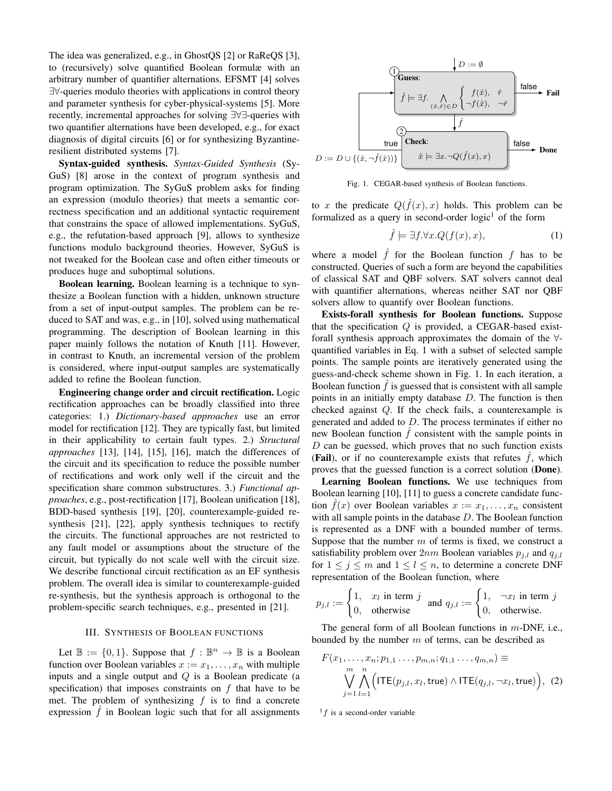The idea was generalized, e.g., in GhostQS [2] or RaReQS [3], to (recursively) solve quantified Boolean formulæ with an arbitrary number of quantifier alternations. EFSMT [4] solves ∃∀-queries modulo theories with applications in control theory and parameter synthesis for cyber-physical-systems [5]. More recently, incremental approaches for solving ∃∀∃-queries with two quantifier alternations have been developed, e.g., for exact diagnosis of digital circuits [6] or for synthesizing Byzantineresilient distributed systems [7].

Syntax-guided synthesis. *Syntax-Guided Synthesis* (Sy-GuS) [8] arose in the context of program synthesis and program optimization. The SyGuS problem asks for finding an expression (modulo theories) that meets a semantic correctness specification and an additional syntactic requirement that constrains the space of allowed implementations. SyGuS, e.g., the refutation-based approach [9], allows to synthesize functions modulo background theories. However, SyGuS is not tweaked for the Boolean case and often either timeouts or produces huge and suboptimal solutions.

Boolean learning. Boolean learning is a technique to synthesize a Boolean function with a hidden, unknown structure from a set of input-output samples. The problem can be reduced to SAT and was, e.g., in [10], solved using mathematical programming. The description of Boolean learning in this paper mainly follows the notation of Knuth [11]. However, in contrast to Knuth, an incremental version of the problem is considered, where input-output samples are systematically added to refine the Boolean function.

Engineering change order and circuit rectification. Logic rectification approaches can be broadly classified into three categories: 1.) *Dictionary-based approaches* use an error model for rectification [12]. They are typically fast, but limited in their applicability to certain fault types. 2.) *Structural approaches* [13], [14], [15], [16], match the differences of the circuit and its specification to reduce the possible number of rectifications and work only well if the circuit and the specification share common substructures. 3.) *Functional approaches*, e.g., post-rectification [17], Boolean unification [18], BDD-based synthesis [19], [20], counterexample-guided resynthesis [21], [22], apply synthesis techniques to rectify the circuits. The functional approaches are not restricted to any fault model or assumptions about the structure of the circuit, but typically do not scale well with the circuit size. We describe functional circuit rectification as an EF synthesis problem. The overall idea is similar to counterexample-guided re-synthesis, but the synthesis approach is orthogonal to the problem-specific search techniques, e.g., presented in [21].

## III. SYNTHESIS OF BOOLEAN FUNCTIONS

Let  $\mathbb{B} := \{0, 1\}$ . Suppose that  $f : \mathbb{B}^n \to \mathbb{B}$  is a Boolean function over Boolean variables  $x := x_1, \ldots, x_n$  with multiple inputs and a single output and  $Q$  is a Boolean predicate (a specification) that imposes constraints on  $f$  that have to be met. The problem of synthesizing  $f$  is to find a concrete expression  $f$  in Boolean logic such that for all assignments



Fig. 1. CEGAR-based synthesis of Boolean functions.

to x the predicate  $Q(\hat{f}(x),x)$  holds. This problem can be formalized as a query in second-order  $logic<sup>1</sup>$  of the form

$$
\hat{f} \models \exists f. \forall x. Q(f(x), x), \tag{1}
$$

where a model  $\hat{f}$  for the Boolean function  $f$  has to be constructed. Queries of such a form are beyond the capabilities of classical SAT and QBF solvers. SAT solvers cannot deal with quantifier alternations, whereas neither SAT nor QBF solvers allow to quantify over Boolean functions.

Exists-forall synthesis for Boolean functions. Suppose that the specification  $Q$  is provided, a CEGAR-based existforall synthesis approach approximates the domain of the ∀ quantified variables in Eq. 1 with a subset of selected sample points. The sample points are iteratively generated using the guess-and-check scheme shown in Fig. 1. In each iteration, a Boolean function  $f$  is guessed that is consistent with all sample points in an initially empty database  $D$ . The function is then checked against Q. If the check fails, a counterexample is generated and added to  $D$ . The process terminates if either no new Boolean function  $\hat{f}$  consistent with the sample points in  $D$  can be guessed, which proves that no such function exists (Fail), or if no counterexample exists that refutes  $f$ , which proves that the guessed function is a correct solution (Done).

Learning Boolean functions. We use techniques from Boolean learning [10], [11] to guess a concrete candidate function  $f(x)$  over Boolean variables  $x := x_1, \ldots, x_n$  consistent with all sample points in the database  $D$ . The Boolean function is represented as a DNF with a bounded number of terms. Suppose that the number  $m$  of terms is fixed, we construct a satisfiability problem over  $2nm$  Boolean variables  $p_{j,l}$  and  $q_{j,l}$ for  $1 \le j \le m$  and  $1 \le l \le n$ , to determine a concrete DNF representation of the Boolean function, where

$$
p_{j,l} := \begin{cases} 1, & x_l \text{ in term } j \\ 0, & \text{otherwise} \end{cases} \text{ and } q_{j,l} := \begin{cases} 1, & \neg x_l \text{ in term } j \\ 0, & \text{otherwise.} \end{cases}
$$

The general form of all Boolean functions in  $m$ -DNF, i.e., bounded by the number  $m$  of terms, can be described as

$$
F(x_1, \ldots, x_n; p_{1,1} \ldots, p_{m,n}; q_{1,1} \ldots, q_{m,n}) \equiv
$$
  

$$
\bigvee_{j=1}^m \bigwedge_{l=1}^n \Big( \text{ITE}(p_{j,l}, x_l, \text{true}) \wedge \text{ITE}(q_{j,l}, \neg x_l, \text{true}) \Big), (2)
$$

 $\frac{1}{f}$  is a second-order variable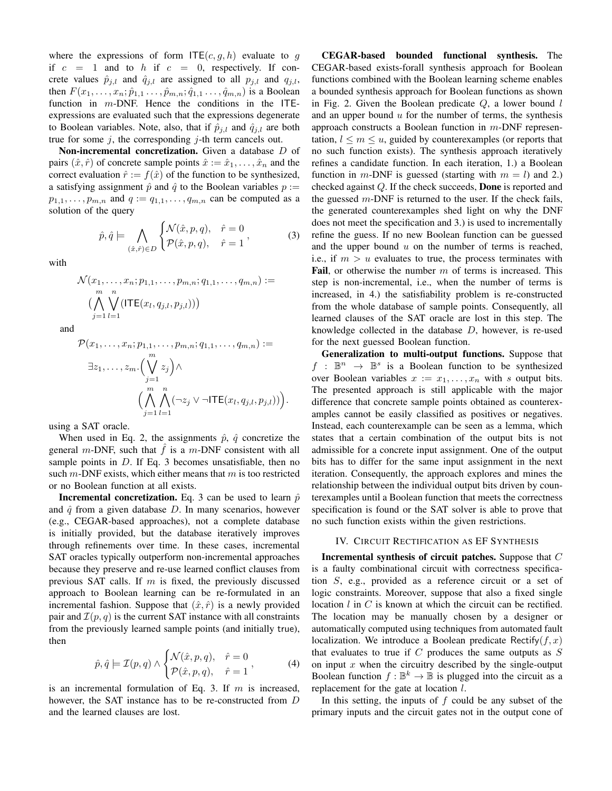where the expressions of form  $\mathsf{ITE}(c, q, h)$  evaluate to g if  $c = 1$  and to h if  $c = 0$ , respectively. If concrete values  $\hat{p}_{i,l}$  and  $\hat{q}_{i,l}$  are assigned to all  $p_{i,l}$  and  $q_{i,l}$ , then  $F(x_1, ..., x_n; \hat{p}_{1,1}, ..., \hat{p}_{m,n}; \hat{q}_{1,1}, ..., \hat{q}_{m,n})$  is a Boolean function in  $m$ -DNF. Hence the conditions in the ITEexpressions are evaluated such that the expressions degenerate to Boolean variables. Note, also, that if  $\hat{p}_{j,l}$  and  $\hat{q}_{j,l}$  are both true for some  $j$ , the corresponding  $j$ -th term cancels out.

Non-incremental concretization. Given a database D of pairs  $(\hat{x}, \hat{r})$  of concrete sample points  $\hat{x} := \hat{x}_1, \dots, \hat{x}_n$  and the correct evaluation  $\hat{r} := f(\hat{x})$  of the function to be synthesized, a satisfying assignment  $\hat{p}$  and  $\hat{q}$  to the Boolean variables  $p :=$  $p_{1,1}, \ldots, p_{m,n}$  and  $q := q_{1,1}, \ldots, q_{m,n}$  can be computed as a solution of the query

$$
\hat{p}, \hat{q} \models \bigwedge_{(\hat{x}, \hat{r}) \in D} \begin{cases} \mathcal{N}(\hat{x}, p, q), & \hat{r} = 0 \\ \mathcal{P}(\hat{x}, p, q), & \hat{r} = 1 \end{cases}, \tag{3}
$$

with

$$
\mathcal{N}(x_1, \ldots, x_n; p_{1,1}, \ldots, p_{m,n}; q_{1,1}, \ldots, q_{m,n}) :=
$$
  
\n
$$
(\bigwedge_{j=1}^{m} \bigvee_{l=1}^{n} (\mathsf{ITE}(x_l, q_{j,l}, p_{j,l})))
$$

and

$$
\mathcal{P}(x_1,\ldots,x_n;p_{1,1},\ldots,p_{m,n};q_{1,1},\ldots,q_{m,n}) :=
$$
  

$$
\exists z_1,\ldots,z_m.(\bigvee_{j=1}^m z_j)\wedge
$$
  

$$
(\bigwedge_{j=1}^m \bigwedge_{l=1}^n (\neg z_j \vee \neg \mathsf{ITE}(x_l,q_{j,l},p_{j,l}))\big).
$$

using a SAT oracle.

When used in Eq. 2, the assignments  $\hat{p}$ ,  $\hat{q}$  concretize the general m-DNF, such that  $\hat{f}$  is a m-DNF consistent with all sample points in  $D$ . If Eq. 3 becomes unsatisfiable, then no such  $m$ -DNF exists, which either means that  $m$  is too restricted or no Boolean function at all exists.

**Incremental concretization.** Eq. 3 can be used to learn  $\hat{p}$ and  $\hat{q}$  from a given database D. In many scenarios, however (e.g., CEGAR-based approaches), not a complete database is initially provided, but the database iteratively improves through refinements over time. In these cases, incremental SAT oracles typically outperform non-incremental approaches because they preserve and re-use learned conflict clauses from previous SAT calls. If  $m$  is fixed, the previously discussed approach to Boolean learning can be re-formulated in an incremental fashion. Suppose that  $(\hat{x}, \hat{r})$  is a newly provided pair and  $\mathcal{I}(p,q)$  is the current SAT instance with all constraints from the previously learned sample points (and initially true), then

$$
\hat{p}, \hat{q} \models \mathcal{I}(p, q) \land \begin{cases} \mathcal{N}(\hat{x}, p, q), & \hat{r} = 0 \\ \mathcal{P}(\hat{x}, p, q), & \hat{r} = 1 \end{cases}, \tag{4}
$$

is an incremental formulation of Eq. 3. If  $m$  is increased, however, the SAT instance has to be re-constructed from D and the learned clauses are lost.

CEGAR-based bounded functional synthesis. The CEGAR-based exists-forall synthesis approach for Boolean functions combined with the Boolean learning scheme enables a bounded synthesis approach for Boolean functions as shown in Fig. 2. Given the Boolean predicate  $Q$ , a lower bound  $l$ and an upper bound  $u$  for the number of terms, the synthesis approach constructs a Boolean function in m-DNF representation,  $l \leq m \leq u$ , guided by counterexamples (or reports that no such function exists). The synthesis approach iteratively refines a candidate function. In each iteration, 1.) a Boolean function in m-DNF is guessed (starting with  $m = l$ ) and 2.) checked against Q. If the check succeeds, Done is reported and the guessed  $m$ -DNF is returned to the user. If the check fails, the generated counterexamples shed light on why the DNF does not meet the specification and 3.) is used to incrementally refine the guess. If no new Boolean function can be guessed and the upper bound  $u$  on the number of terms is reached, i.e., if  $m > u$  evaluates to true, the process terminates with **Fail**, or otherwise the number  $m$  of terms is increased. This step is non-incremental, i.e., when the number of terms is increased, in 4.) the satisfiability problem is re-constructed from the whole database of sample points. Consequently, all learned clauses of the SAT oracle are lost in this step. The knowledge collected in the database D, however, is re-used for the next guessed Boolean function.

Generalization to multi-output functions. Suppose that  $f : \mathbb{B}^n \to \mathbb{B}^s$  is a Boolean function to be synthesized over Boolean variables  $x := x_1, \ldots, x_n$  with s output bits. The presented approach is still applicable with the major difference that concrete sample points obtained as counterexamples cannot be easily classified as positives or negatives. Instead, each counterexample can be seen as a lemma, which states that a certain combination of the output bits is not admissible for a concrete input assignment. One of the output bits has to differ for the same input assignment in the next iteration. Consequently, the approach explores and mines the relationship between the individual output bits driven by counterexamples until a Boolean function that meets the correctness specification is found or the SAT solver is able to prove that no such function exists within the given restrictions.

#### IV. CIRCUIT RECTIFICATION AS EF SYNTHESIS

Incremental synthesis of circuit patches. Suppose that C is a faulty combinational circuit with correctness specification S, e.g., provided as a reference circuit or a set of logic constraints. Moreover, suppose that also a fixed single location  $l$  in  $C$  is known at which the circuit can be rectified. The location may be manually chosen by a designer or automatically computed using techniques from automated fault localization. We introduce a Boolean predicate Rectify( $f, x$ ) that evaluates to true if  $C$  produces the same outputs as  $S$ on input  $x$  when the circuitry described by the single-output Boolean function  $f : \mathbb{B}^k \to \mathbb{B}$  is plugged into the circuit as a replacement for the gate at location l.

In this setting, the inputs of  $f$  could be any subset of the primary inputs and the circuit gates not in the output cone of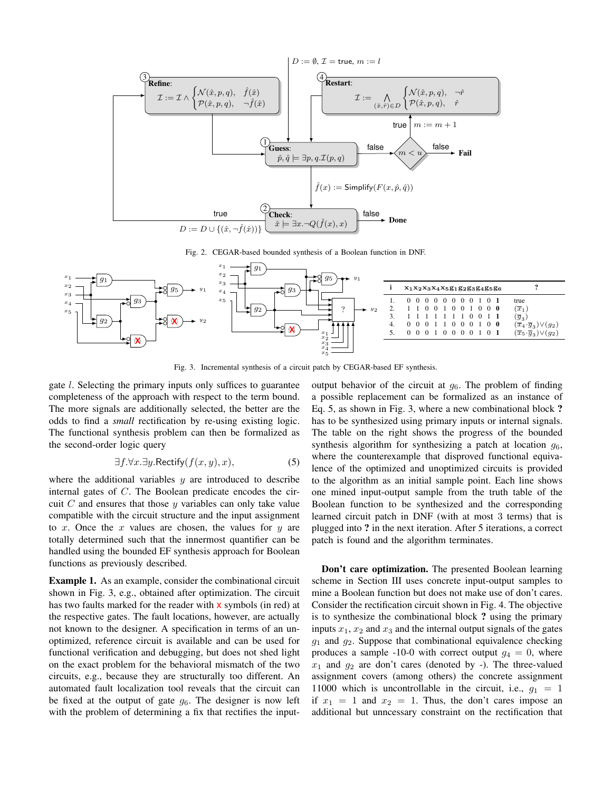

Fig. 2. CEGAR-based bounded synthesis of a Boolean function in DNF.



Fig. 3. Incremental synthesis of a circuit patch by CEGAR-based EF synthesis.

gate l. Selecting the primary inputs only suffices to guarantee completeness of the approach with respect to the term bound. The more signals are additionally selected, the better are the odds to find a *small* rectification by re-using existing logic. The functional synthesis problem can then be formalized as the second-order logic query

$$
\exists f. \forall x. \exists y. \text{Rectify}(f(x, y), x), \tag{5}
$$

where the additional variables  $y$  are introduced to describe internal gates of C. The Boolean predicate encodes the circuit  $C$  and ensures that those  $y$  variables can only take value compatible with the circuit structure and the input assignment to x. Once the x values are chosen, the values for  $y$  are totally determined such that the innermost quantifier can be handled using the bounded EF synthesis approach for Boolean functions as previously described.

Example 1. As an example, consider the combinational circuit shown in Fig. 3, e.g., obtained after optimization. The circuit has two faults marked for the reader with **x** symbols (in red) at the respective gates. The fault locations, however, are actually not known to the designer. A specification in terms of an unoptimized, reference circuit is available and can be used for functional verification and debugging, but does not shed light on the exact problem for the behavioral mismatch of the two circuits, e.g., because they are structurally too different. An automated fault localization tool reveals that the circuit can be fixed at the output of gate  $g_6$ . The designer is now left with the problem of determining a fix that rectifies the input-

output behavior of the circuit at  $g_6$ . The problem of finding a possible replacement can be formalized as an instance of Eq. 5, as shown in Fig. 3, where a new combinational block ? has to be synthesized using primary inputs or internal signals. The table on the right shows the progress of the bounded synthesis algorithm for synthesizing a patch at location  $g_6$ , where the counterexample that disproved functional equivalence of the optimized and unoptimized circuits is provided to the algorithm as an initial sample point. Each line shows one mined input-output sample from the truth table of the Boolean function to be synthesized and the corresponding learned circuit patch in DNF (with at most 3 terms) that is plugged into ? in the next iteration. After 5 iterations, a correct patch is found and the algorithm terminates.

Don't care optimization. The presented Boolean learning scheme in Section III uses concrete input-output samples to mine a Boolean function but does not make use of don't cares. Consider the rectification circuit shown in Fig. 4. The objective is to synthesize the combinational block ? using the primary inputs  $x_1, x_2$  and  $x_3$  and the internal output signals of the gates  $g_1$  and  $g_2$ . Suppose that combinational equivalence checking produces a sample -10-0 with correct output  $g_4 = 0$ , where  $x_1$  and  $y_2$  are don't cares (denoted by -). The three-valued assignment covers (among others) the concrete assignment 11000 which is uncontrollable in the circuit, i.e.,  $q_1 = 1$ if  $x_1 = 1$  and  $x_2 = 1$ . Thus, the don't cares impose an additional but unncessary constraint on the rectification that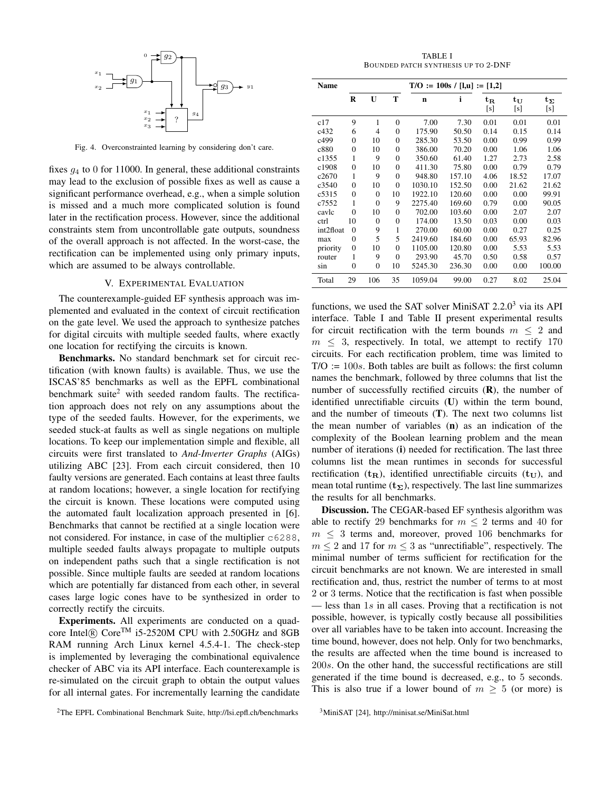

Fig. 4. Overconstrainted learning by considering don't care.

fixes  $g_4$  to 0 for 11000. In general, these additional constraints may lead to the exclusion of possible fixes as well as cause a significant performance overhead, e.g., when a simple solution is missed and a much more complicated solution is found later in the rectification process. However, since the additional constraints stem from uncontrollable gate outputs, soundness of the overall approach is not affected. In the worst-case, the rectification can be implemented using only primary inputs, which are assumed to be always controllable.

#### V. EXPERIMENTAL EVALUATION

The counterexample-guided EF synthesis approach was implemented and evaluated in the context of circuit rectification on the gate level. We used the approach to synthesize patches for digital circuits with multiple seeded faults, where exactly one location for rectifying the circuits is known.

Benchmarks. No standard benchmark set for circuit rectification (with known faults) is available. Thus, we use the ISCAS'85 benchmarks as well as the EPFL combinational benchmark suite<sup>2</sup> with seeded random faults. The rectification approach does not rely on any assumptions about the type of the seeded faults. However, for the experiments, we seeded stuck-at faults as well as single negations on multiple locations. To keep our implementation simple and flexible, all circuits were first translated to *And-Inverter Graphs* (AIGs) utilizing ABC [23]. From each circuit considered, then 10 faulty versions are generated. Each contains at least three faults at random locations; however, a single location for rectifying the circuit is known. These locations were computed using the automated fault localization approach presented in [6]. Benchmarks that cannot be rectified at a single location were not considered. For instance, in case of the multiplier c6288, multiple seeded faults always propagate to multiple outputs on independent paths such that a single rectification is not possible. Since multiple faults are seeded at random locations which are potentially far distanced from each other, in several cases large logic cones have to be synthesized in order to correctly rectify the circuits.

Experiments. All experiments are conducted on a quadcore Intel® Core<sup>TM</sup> i5-2520M CPU with 2.50GHz and 8GB RAM running Arch Linux kernel 4.5.4-1. The check-step is implemented by leveraging the combinational equivalence checker of ABC via its API interface. Each counterexample is re-simulated on the circuit graph to obtain the output values for all internal gates. For incrementally learning the candidate

TABLE I BOUNDED PATCH SYNTHESIS UP TO 2-DNF

| Name      | $T/O := 100s / [l,u] := [1,2]$ |              |          |         |        |                                  |              |                     |  |
|-----------|--------------------------------|--------------|----------|---------|--------|----------------------------------|--------------|---------------------|--|
|           | $\bf{R}$                       | U            | T        | n       | i      | $\mathbf{t}_{\mathbf{R}}$<br>[s] | $t_U$<br>[s] | $t_{\Sigma}$<br>[s] |  |
| c17       | 9                              | 1            | $\theta$ | 7.00    | 7.30   | 0.01                             | 0.01         | 0.01                |  |
| c432      | 6                              | 4            | $\theta$ | 175.90  | 50.50  | 0.14                             | 0.15         | 0.14                |  |
| c499      | 0                              | 10           | $\Omega$ | 285.30  | 53.50  | 0.00                             | 0.99         | 0.99                |  |
| c880      | $\overline{0}$                 | 10           | $\Omega$ | 386.00  | 70.20  | 0.00                             | 1.06         | 1.06                |  |
| c1355     | 1                              | 9            | $\theta$ | 350.60  | 61.40  | 1.27                             | 2.73         | 2.58                |  |
| c1908     | $\overline{0}$                 | 10           | $\Omega$ | 411.30  | 75.80  | 0.00                             | 0.79         | 0.79                |  |
| c2670     | 1                              | 9            | $\theta$ | 948.80  | 157.10 | 4.06                             | 18.52        | 17.07               |  |
| c3540     | $\overline{0}$                 | 10           | $\theta$ | 1030.10 | 152.50 | 0.00                             | 21.62        | 21.62               |  |
| c5315     | $\overline{0}$                 | $\mathbf{0}$ | 10       | 1922.10 | 120.60 | 0.00                             | 0.00         | 99.91               |  |
| c7552     | 1                              | $\Omega$     | 9        | 2275.40 | 169.60 | 0.79                             | 0.00         | 90.05               |  |
| cavlc     | $\theta$                       | 10           | $\Omega$ | 702.00  | 103.60 | 0.00                             | 2.07         | 2.07                |  |
| ctrl      | 10                             | $\Omega$     | $\theta$ | 174.00  | 13.50  | 0.03                             | 0.00         | 0.03                |  |
| int2float | $\theta$                       | 9            | 1        | 270.00  | 60.00  | 0.00                             | 0.27         | 0.25                |  |
| max       | $\overline{0}$                 | 5            | 5        | 2419.60 | 184.60 | 0.00                             | 65.93        | 82.96               |  |
| priority  | $\theta$                       | 10           | $\theta$ | 1105.00 | 120.80 | 0.00                             | 5.53         | 5.53                |  |
| router    | 1                              | 9            | $\theta$ | 293.90  | 45.70  | 0.50                             | 0.58         | 0.57                |  |
| sin       | $\overline{0}$                 | $\mathbf{0}$ | 10       | 5245.30 | 236.30 | 0.00                             | 0.00         | 100.00              |  |
| Total     | 29                             | 106          | 35       | 1059.04 | 99.00  | 0.27                             | 8.02         | 25.04               |  |

functions, we used the SAT solver MiniSAT  $2.2.0<sup>3</sup>$  via its API interface. Table I and Table II present experimental results for circuit rectification with the term bounds  $m \leq 2$  and  $m \leq 3$ , respectively. In total, we attempt to rectify 170 circuits. For each rectification problem, time was limited to  $T/O := 100s$ . Both tables are built as follows: the first column names the benchmark, followed by three columns that list the number of successfully rectified circuits  $(R)$ , the number of identified unrectifiable circuits (U) within the term bound, and the number of timeouts (T). The next two columns list the mean number of variables (n) as an indication of the complexity of the Boolean learning problem and the mean number of iterations (i) needed for rectification. The last three columns list the mean runtimes in seconds for successful rectification ( $t_R$ ), identified unrectifiable circuits ( $t_U$ ), and mean total runtime  $(t<sub>\Sigma</sub>)$ , respectively. The last line summarizes the results for all benchmarks.

Discussion. The CEGAR-based EF synthesis algorithm was able to rectify 29 benchmarks for  $m \leq 2$  terms and 40 for  $m \leq 3$  terms and, moreover, proved 106 benchmarks for  $m \leq 2$  and 17 for  $m \leq 3$  as "unrectifiable", respectively. The minimal number of terms sufficient for rectification for the circuit benchmarks are not known. We are interested in small rectification and, thus, restrict the number of terms to at most 2 or 3 terms. Notice that the rectification is fast when possible — less than 1s in all cases. Proving that a rectification is not possible, however, is typically costly because all possibilities over all variables have to be taken into account. Increasing the time bound, however, does not help. Only for two benchmarks, the results are affected when the time bound is increased to 200s. On the other hand, the successful rectifications are still generated if the time bound is decreased, e.g., to 5 seconds. This is also true if a lower bound of  $m \geq 5$  (or more) is

<sup>2</sup>The EPFL Combinational Benchmark Suite, http://lsi.epfl.ch/benchmarks

<sup>3</sup>MiniSAT [24], http://minisat.se/MiniSat.html